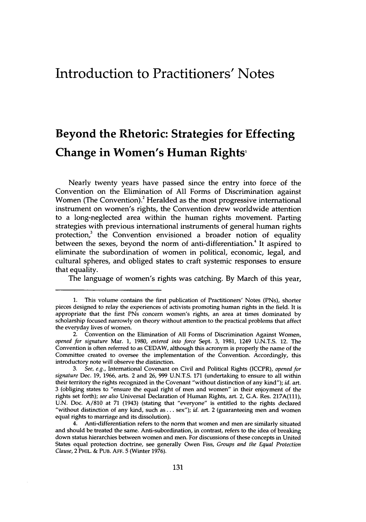## Introduction to Practitioners' Notes

## Beyond the Rhetoric: Strategies for Effecting Change in Women's Human Rights'

Nearly twenty years have passed since the entry into force of the Convention on the Elimination of **All** Forms of Discrimination against Women (The Convention).<sup>2</sup> Heralded as the most progressive international instrument on women's rights, the Convention drew worldwide attention to a long-neglected area within the human rights movement. Parting strategies with previous international instruments of general human rights protection, $3$  the Convention envisioned a broader notion of equality between the sexes, beyond the norm of anti-differentiation.<sup>4</sup> It aspired to eliminate the subordination of women in political, economic, legal, and cultural spheres, and obliged states to craft systemic responses to ensure that equality.

The language of women's rights was catching. **By** March of this year,

**<sup>1.</sup>** This volume contains the first publication of Practitioners' Notes (PNs), shorter pieces designed to relay the experiences of activists promoting human rights in the field. **It** is appropriate that the first PNs concern women's rights, an area at times dominated **by** scholarship focused narrowly on theory without attention to the practical problems that affect the everyday lives of women.

<sup>2.</sup> Convention on the **Elimnation** of **All** Forms of Discrimination Against Women, *opened for signature* Mar. **1, 1980,** *entered into force* Sept. **3, 1981,** 1249 **U.N.T.S.** 12. The Convention is often referred to as **CEDAW,** although this acronym is properly the name of the Committee created to oversee the implementation of the Convention. Accordingly, this introductory note will observe the distinction.

*<sup>3.</sup> See, e.g.,* International Covenant on Civil and Political Rights (ICCPR), *opened for signature* Dec. 19, 1966, arts. 2 and 26, 999 U.N.T.S. 171 (undertaking to ensure to all within their territory the rights recognized in the Covenant "without distinction of any kind"); *id.* art. 3 (obliging states to "ensure the equal right of men and women" in their enjoyment of the rights set forth); *see also* Universal Declaration of Human Rights, art. 2, G.A. Res. 217A(111), U.N. Doc. A/810 at 71 (1943) (stating that "everyone" is entitled to the rights declared "without distinction of any kind, such **as...** sex"); *id.* art. 2 (guaranteeing men and women equal rights to marriage and its dissolution).

<sup>4.</sup> Anti-differentiation refers to the norm that women and men are similarly situated and should be treated the same. Anti-subordination, in contrast, refers to the idea of breaking down status hierarchies between women and men. For discussions of these concepts in United States equal protection doctrine, see generally Owen Fiss, *Groups and the Equal Protection Clause,* 2 PHIL. **&** PUB. **AFF. 5** (Winter **1976).**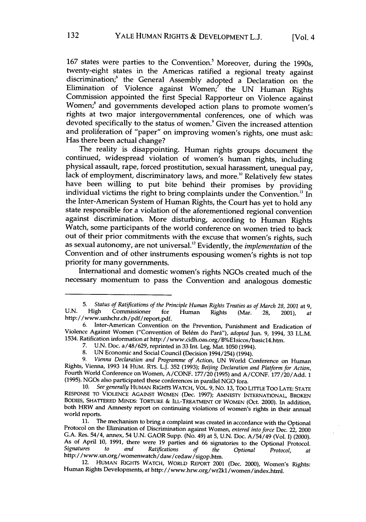167 states were parties to the Convention.<sup>5</sup> Moreover, during the 1990s, twenty-eight states in the Americas ratified a regional treaty against discrimination;<sup>6</sup> the General Assembly adopted a Declaration on the Elimination of Violence against Women;' the **UN** Human Rights Commission appointed the first Special Rapporteur on Violence against Women;<sup>8</sup> and governments developed action plans to promote women's rights at two major intergovernmental conferences, one of which was devoted specifically to the status of women.<sup>9</sup> Given the increased attention and proliferation of "paper" on improving women's rights, one must ask: Has there been actual change?

The reality is disappointing. Human rights groups document the continued, widespread violation of women's human rights, including physical assault, rape, forced prostitution, sexual harassment, unequal pay, lack of employment, discriminatory laws, and more." Relatively few states have been willing to put bite behind their promises **by** providing individual victims the right to bring complaints under the Convention.<sup>11</sup> In the Inter-American System of Human Rights, the Court has yet to hold any state responsible for a violation of the aforementioned regional convention against discrimination. More disturbing, according to Human Rights Watch, some participants of the world conference on women tried to back out of their prior commitments with the excuse that women's rights, such as sexual autonomy, are not universal. Evidently, the *implementation* of the Convention and of other instruments espousing women's rights is not top priority for many governments.

International and domestic women's rights NGOs created much of the necessary momentum to pass the Convention and analogous domestic

<sup>5.</sup> Status of Ratifications of the Principle Human Rights Treaties as of March 28, 2001 at 9, U.N. High Commissioner for Human Rights (Mar. 28, 2001), at http://www.unhchr.ch/pdf/report.pdf.

**<sup>6.</sup>** Inter-American Convention on the Prevention, Punishment and Eradication of Violence Against Women ("Convention of Bel~m do Parii"), *adopted* Jun. **9,** 1994, **33** I.L.M. 1534. Ratification information at http://www.cidh.oas.org/B%E1sicos/basic14.htm.

**<sup>7.</sup> U.N.** Doc. a/48/629, reprinted in 33 Int. Leg. Mat. 1050(1994).

**<sup>8.</sup> UN** Economic and Social Council (Decision 1994/254) (1994).

*<sup>9.</sup> Vienna Declaration and Programme of Action,* **UN** World Conference on Human Rights, Vienna, **1993** 14 HuM. RTS. L.J. **352 (1993);** *Beijing Declaration and Platform for Action,* Fourth World Conference on Women, **A/CONF. 177/20 (1995)** and **A/CONF. 177/20/Add. 1 (1995).** NGOs also participated these conferences **in** parallel **NGO** fora.

**<sup>10.</sup>** *See generally* HUMAN RIGHTS WATCH, VOL. **9,** No. **13, TOo LITrLE** Too **LATE: STATE RESPONSE** TO **VIOLENCE AGAINST** WOMEN (Dec. **1997); AMNESTY INTERNATIONAL,** BROKEN **BODIES,** SHATTERED MINDS: TORTURE **&** ILL-TREATMENT OF WOMEN (Oct. 2000). In addition, both HRW and Amnesty report on continuing violations of women's rights in their annual world reports.<br>11. The mechanism to bring a complaint was created in accordance with the Optional

**<sup>11.</sup>** The mechanism to bring a complaint was created in accordance with the Optional Protocol on the Elimination of Discrimination against Women, *entered into force* Dec. 22, 2000 G.A. Res. 54/4, annex, 54 U.N. GAOR Supp. (No. 49) at 5, U.N. Doc. A/54/49 (Vol. I) (2000).<br>As of April 10, 1991, there were 19 parties and 66 signatories to the Optional Protocol.<br>Signatures to and Ratifications of the Op *Signatures to and Ratifications of the Optional Protocol, at* http://www.un.org/womenwatch/daw/cedaw/sigop.htm.

<sup>12.</sup> HUMAN RIGHTS WATCH, WORLD REPORT 2001 (Dec. 2000), Women's Rights: Human Rights Developments, *at* http://www.hrw.org/wr2kl/women/index.html.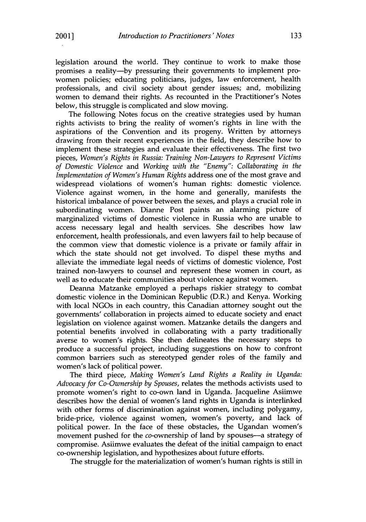legislation around the world. They continue to work to make those promises a reality-by pressuring their governments to implement prowomen policies; educating politicians, judges, law enforcement, health professionals, and civil society about gender issues; and, mobilizing women to demand their rights. As recounted in the Practitioner's Notes below, this struggle is complicated and slow moving.

The following Notes focus on the creative strategies used by human rights activists to bring the reality of women's rights in line with the aspirations of the Convention and its progeny. Written by attorneys drawing from their recent experiences in the field, they describe how to implement these strategies and evaluate their effectiveness. The first two pieces, *Women's Rights in Russia: Training Non-Lawyers to Represent Victims of Domestic Violence* and *Working with the "Enemy": Collaborating in the Implementation of Women's Human Rights* address one of the most grave and widespread violations of women's human rights: domestic violence. Violence against women, in the home and generally, manifests the historical imbalance of power between the sexes, and plays a crucial role in subordinating women. Dianne Post paints an alarming picture of marginalized victims of domestic violence in Russia who are unable to access necessary legal and health services. She describes how law enforcement, health professionals, and even lawyers fail to help because of the common view that domestic violence is a private or family affair in which the state should not get involved. To dispel these myths and alleviate the immediate legal needs of victims of domestic violence, Post trained non-lawyers to counsel and represent these women in court, as well as to educate their communities about violence against women.

Deanna Matzanke employed a perhaps riskier strategy to combat domestic violence in the Dominican Republic (D.R.) and Kenya. Working with local NGOs in each country, this Canadian attorney sought out the governments' collaboration in projects aimed to educate society and enact legislation on violence against women. Matzanke details the dangers and potential benefits involved in collaborating with a party traditionally averse to women's rights. She then delineates the necessary steps to produce a successful project, including suggestions on how to confront common barriers such as stereotyped gender roles of the family and women's lack of political power.

The third piece, *Making Women's Land Rights a Reality in Uganda: Advocacy for Co-Ownership by Spouses,* relates the methods activists used to promote women's right to co-own land in Uganda. Jacqueline Asiimwe describes how the denial of women's land rights in Uganda is interlinked with other forms of discrimination against women, including polygamy, bride-price, violence against women, women's poverty, and lack of political power. In the face of these obstacles, the Ugandan women's movement pushed for the co-ownership of land by spouses-a strategy of compromise. Asiimwe evaluates the defeat of the initial campaign to enact co-ownership legislation, and hypothesizes about future efforts.

The struggle for the materialization of women's human rights is still in